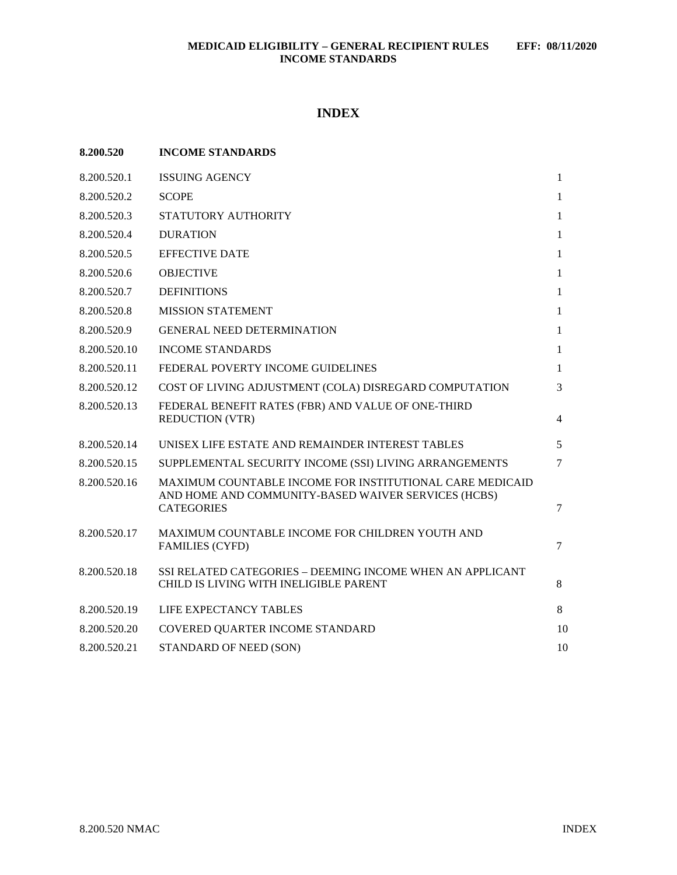# **INDEX**

| 8.200.520    | <b>INCOME STANDARDS</b>                                                                                                              |                |
|--------------|--------------------------------------------------------------------------------------------------------------------------------------|----------------|
| 8.200.520.1  | <b>ISSUING AGENCY</b>                                                                                                                | $\mathbf{1}$   |
| 8.200.520.2  | <b>SCOPE</b>                                                                                                                         | $\mathbf{1}$   |
| 8.200.520.3  | STATUTORY AUTHORITY                                                                                                                  | $\mathbf{1}$   |
| 8.200.520.4  | <b>DURATION</b>                                                                                                                      | $\mathbf{1}$   |
| 8.200.520.5  | <b>EFFECTIVE DATE</b>                                                                                                                | $\mathbf{1}$   |
| 8.200.520.6  | <b>OBJECTIVE</b>                                                                                                                     | $\mathbf{1}$   |
| 8.200.520.7  | <b>DEFINITIONS</b>                                                                                                                   | 1              |
| 8.200.520.8  | <b>MISSION STATEMENT</b>                                                                                                             | $\mathbf{1}$   |
| 8.200.520.9  | <b>GENERAL NEED DETERMINATION</b>                                                                                                    | 1              |
| 8.200.520.10 | <b>INCOME STANDARDS</b>                                                                                                              | $\mathbf{1}$   |
| 8.200.520.11 | FEDERAL POVERTY INCOME GUIDELINES                                                                                                    | $\mathbf{1}$   |
| 8.200.520.12 | COST OF LIVING ADJUSTMENT (COLA) DISREGARD COMPUTATION                                                                               | 3              |
| 8.200.520.13 | FEDERAL BENEFIT RATES (FBR) AND VALUE OF ONE-THIRD<br><b>REDUCTION (VTR)</b>                                                         | $\overline{4}$ |
| 8.200.520.14 | UNISEX LIFE ESTATE AND REMAINDER INTEREST TABLES                                                                                     | 5              |
| 8.200.520.15 | SUPPLEMENTAL SECURITY INCOME (SSI) LIVING ARRANGEMENTS                                                                               | $\tau$         |
| 8.200.520.16 | MAXIMUM COUNTABLE INCOME FOR INSTITUTIONAL CARE MEDICAID<br>AND HOME AND COMMUNITY-BASED WAIVER SERVICES (HCBS)<br><b>CATEGORIES</b> | 7              |
| 8.200.520.17 | MAXIMUM COUNTABLE INCOME FOR CHILDREN YOUTH AND<br><b>FAMILIES (CYFD)</b>                                                            | $\tau$         |
| 8.200.520.18 | SSI RELATED CATEGORIES - DEEMING INCOME WHEN AN APPLICANT<br>CHILD IS LIVING WITH INELIGIBLE PARENT                                  | 8              |
| 8.200.520.19 | <b>LIFE EXPECTANCY TABLES</b>                                                                                                        | 8              |
| 8.200.520.20 | COVERED QUARTER INCOME STANDARD                                                                                                      | 10             |
| 8.200.520.21 | STANDARD OF NEED (SON)                                                                                                               | 10             |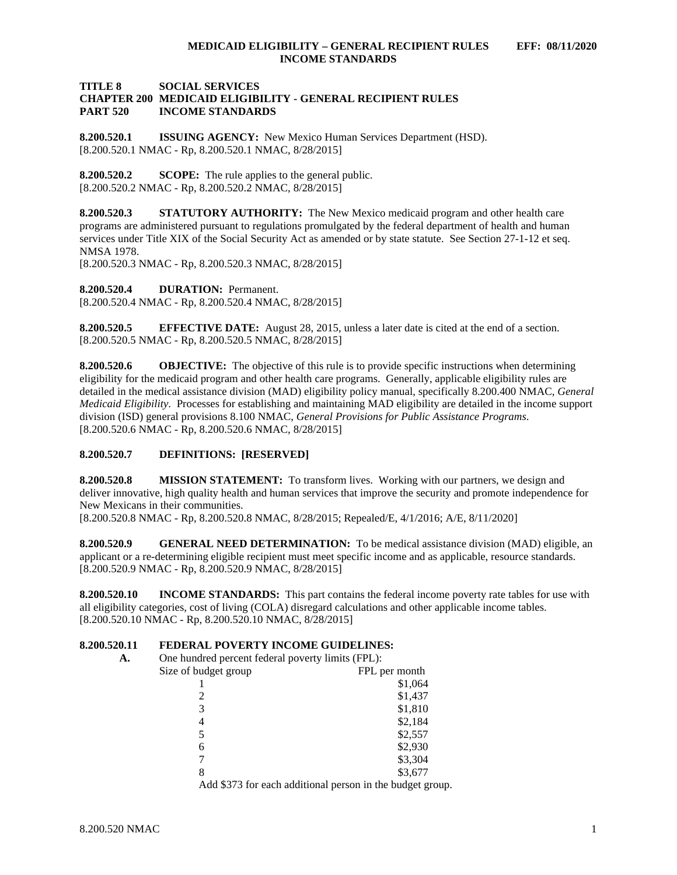### **TITLE 8 SOCIAL SERVICES CHAPTER 200 MEDICAID ELIGIBILITY - GENERAL RECIPIENT RULES PART 520 INCOME STANDARDS**

<span id="page-1-0"></span>**8.200.520.1 ISSUING AGENCY:** New Mexico Human Services Department (HSD). [8.200.520.1 NMAC - Rp, 8.200.520.1 NMAC, 8/28/2015]

<span id="page-1-1"></span>**8.200.520.2 SCOPE:** The rule applies to the general public. [8.200.520.2 NMAC - Rp, 8.200.520.2 NMAC, 8/28/2015]

<span id="page-1-2"></span>**8.200.520.3 STATUTORY AUTHORITY:** The New Mexico medicaid program and other health care programs are administered pursuant to regulations promulgated by the federal department of health and human services under Title XIX of the Social Security Act as amended or by state statute. See Section 27-1-12 et seq. NMSA 1978.

[8.200.520.3 NMAC - Rp, 8.200.520.3 NMAC, 8/28/2015]

<span id="page-1-3"></span>**8.200.520.4 DURATION:** Permanent. [8.200.520.4 NMAC - Rp, 8.200.520.4 NMAC, 8/28/2015]

<span id="page-1-4"></span>**8.200.520.5 EFFECTIVE DATE:** August 28, 2015, unless a later date is cited at the end of a section. [8.200.520.5 NMAC - Rp, 8.200.520.5 NMAC, 8/28/2015]

<span id="page-1-5"></span>**8.200.520.6 OBJECTIVE:** The objective of this rule is to provide specific instructions when determining eligibility for the medicaid program and other health care programs. Generally, applicable eligibility rules are detailed in the medical assistance division (MAD) eligibility policy manual, specifically 8.200.400 NMAC, *General Medicaid Eligibility*. Processes for establishing and maintaining MAD eligibility are detailed in the income support division (ISD) general provisions 8.100 NMAC, *General Provisions for Public Assistance Programs*. [8.200.520.6 NMAC - Rp, 8.200.520.6 NMAC, 8/28/2015]

## <span id="page-1-6"></span>**8.200.520.7 DEFINITIONS: [RESERVED]**

<span id="page-1-7"></span>**8.200.520.8 MISSION STATEMENT:** To transform lives. Working with our partners, we design and deliver innovative, high quality health and human services that improve the security and promote independence for New Mexicans in their communities.

[8.200.520.8 NMAC - Rp, 8.200.520.8 NMAC, 8/28/2015; Repealed/E, 4/1/2016; A/E, 8/11/2020]

<span id="page-1-8"></span>**8.200.520.9 GENERAL NEED DETERMINATION:** To be medical assistance division (MAD) eligible, an applicant or a re-determining eligible recipient must meet specific income and as applicable, resource standards. [8.200.520.9 NMAC - Rp, 8.200.520.9 NMAC, 8/28/2015]

<span id="page-1-9"></span>**8.200.520.10 INCOME STANDARDS:** This part contains the federal income poverty rate tables for use with all eligibility categories, cost of living (COLA) disregard calculations and other applicable income tables. [8.200.520.10 NMAC - Rp, 8.200.520.10 NMAC, 8/28/2015]

## <span id="page-1-10"></span>**8.200.520.11 FEDERAL POVERTY INCOME GUIDELINES:**

**A.** One hundred percent federal poverty limits (FPL):

| FPL per month                                             |
|-----------------------------------------------------------|
| \$1,064                                                   |
| \$1,437                                                   |
| \$1,810                                                   |
| \$2,184                                                   |
| \$2,557                                                   |
| \$2,930                                                   |
| \$3,304                                                   |
| \$3,677                                                   |
| Add \$373 for each additional person in the budget group. |
|                                                           |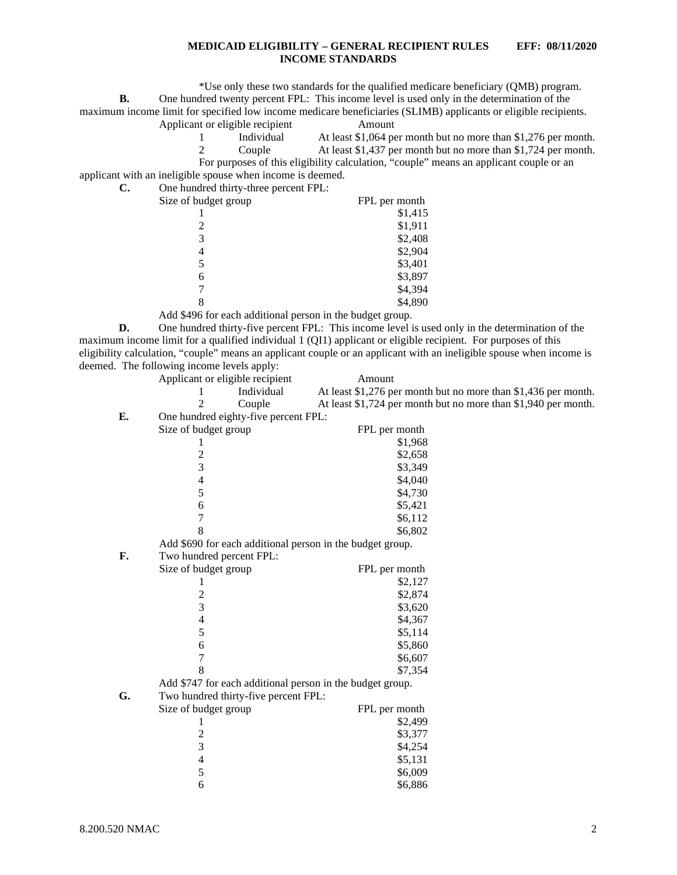\*Use only these two standards for the qualified medicare beneficiary (QMB) program.

**B.** One hundred twenty percent FPL: This income level is used only in the determination of the

maximum income limit for specified low income medicare beneficiaries (SLIMB) applicants or eligible recipients.

Applicant or eligible recipient Amount

1 Individual At least \$1,064 per month but no more than \$1,276 per month. 2 Couple At least \$1,437 per month but no more than \$1,724 per month. For purposes of this eligibility calculation, "couple" means an applicant couple or an

applicant with an ineligible spouse when income is deemed.

| C.<br>One hundred thirty-three percent FPL: |
|---------------------------------------------|
|---------------------------------------------|

| Size of budget group | FPL per month |
|----------------------|---------------|
|                      | \$1,415       |
|                      | \$1,911       |
| 3                    | \$2,408       |
| 4                    | \$2,904       |
|                      | \$3,401       |
| 6                    | \$3,897       |
|                      | \$4,394       |
| 8                    | \$4,890       |
|                      |               |

Add \$496 for each additional person in the budget group.

**D.** One hundred thirty-five percent FPL: This income level is used only in the determination of the maximum income limit for a qualified individual 1 (QI1) applicant or eligible recipient. For purposes of this eligibility calculation, "couple" means an applicant couple or an applicant with an ineligible spouse when income is deemed. The following income levels apply:

|    | Applicant or eligible recipient      | Amount                                                         |
|----|--------------------------------------|----------------------------------------------------------------|
|    | Individual<br>1                      | At least \$1,276 per month but no more than \$1,436 per month. |
|    | $\overline{c}$<br>Couple             | At least \$1,724 per month but no more than \$1,940 per month. |
| E. | One hundred eighty-five percent FPL: |                                                                |
|    | Size of budget group                 | FPL per month                                                  |
|    | 1                                    | \$1,968                                                        |
|    | $\overline{c}$                       | \$2,658                                                        |
|    | 3                                    | \$3,349                                                        |
|    | 4                                    | \$4,040                                                        |
|    | 5                                    | \$4,730                                                        |
|    | 6                                    | \$5,421                                                        |
|    | $\overline{7}$                       | \$6,112                                                        |
|    | 8                                    | \$6,802                                                        |
|    |                                      | Add \$690 for each additional person in the budget group.      |
| F. | Two hundred percent FPL:             |                                                                |
|    | Size of budget group                 | FPL per month                                                  |
|    | 1                                    | \$2,127                                                        |
|    | $\overline{\mathbf{c}}$              | \$2,874                                                        |
|    | 3                                    | \$3,620                                                        |
|    | $\overline{\mathcal{L}}$             | \$4,367                                                        |
|    | 5                                    | \$5,114                                                        |
|    | 6                                    | \$5,860                                                        |
|    | $\overline{7}$                       | \$6,607                                                        |
|    | 8                                    | \$7,354                                                        |
|    |                                      | Add \$747 for each additional person in the budget group.      |
| G. | Two hundred thirty-five percent FPL: |                                                                |
|    | Size of budget group                 | FPL per month                                                  |
|    | 1                                    | \$2,499                                                        |
|    | $\overline{\mathbf{c}}$              | \$3,377                                                        |
|    | $\overline{3}$                       | \$4,254                                                        |
|    | $\overline{4}$                       | \$5,131                                                        |
|    | 5                                    | \$6,009                                                        |
|    | 6                                    | \$6,886                                                        |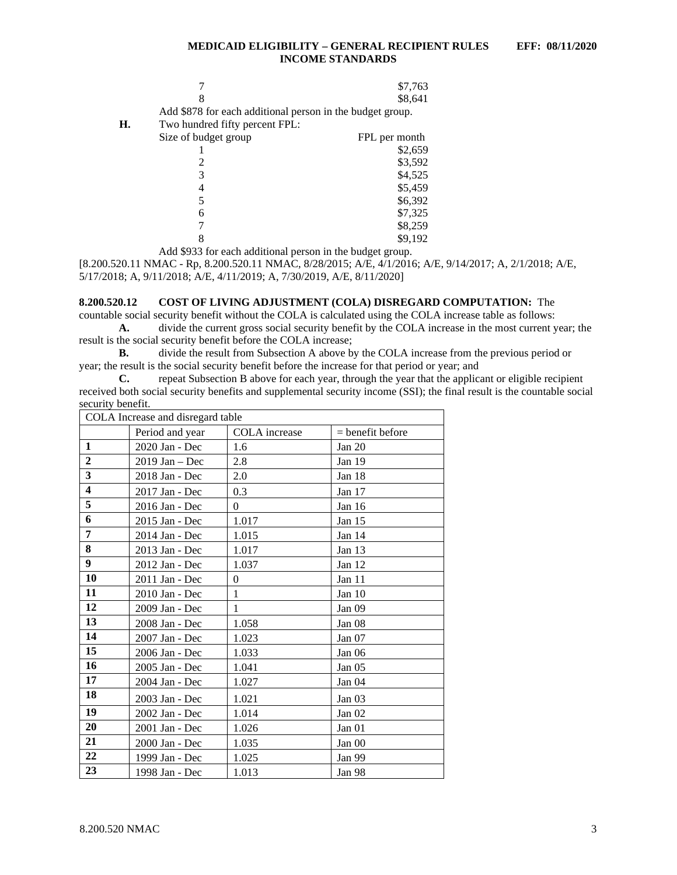|    |                                                           | \$7,763       |
|----|-----------------------------------------------------------|---------------|
|    |                                                           | \$8,641       |
|    | Add \$878 for each additional person in the budget group. |               |
| Н. | Two hundred fifty percent FPL:                            |               |
|    | Size of budget group                                      | FPL per month |
|    |                                                           | \$2,659       |
|    |                                                           | \$3,592       |
|    |                                                           | \$4,525       |
|    |                                                           | \$5,459       |
|    |                                                           | \$6,392       |
|    | 6                                                         | \$7,325       |
|    |                                                           | \$8,259       |
|    |                                                           | \$9,192       |

Add \$933 for each additional person in the budget group.

[8.200.520.11 NMAC - Rp, 8.200.520.11 NMAC, 8/28/2015; A/E, 4/1/2016; A/E, 9/14/2017; A, 2/1/2018; A/E, 5/17/2018; A, 9/11/2018; A/E, 4/11/2019; A, 7/30/2019, A/E, 8/11/2020]

#### <span id="page-3-0"></span>**8.200.520.12 COST OF LIVING ADJUSTMENT (COLA) DISREGARD COMPUTATION:** The

countable social security benefit without the COLA is calculated using the COLA increase table as follows: **A.** divide the current gross social security benefit by the COLA increase in the most current year; the

result is the social security benefit before the COLA increase;

**B.** divide the result from Subsection A above by the COLA increase from the previous period or year; the result is the social security benefit before the increase for that period or year; and <br>C. repeat Subsection B above for each year, through the year that the application

repeat Subsection B above for each year, through the year that the applicant or eligible recipient received both social security benefits and supplemental security income (SSI); the final result is the countable social security benefit.

| COLA Increase and disregard table |                  |                      |                    |  |
|-----------------------------------|------------------|----------------------|--------------------|--|
|                                   | Period and year  | <b>COLA</b> increase | $=$ benefit before |  |
| $\mathbf{1}$                      | 2020 Jan - Dec   | 1.6                  | Jan $20$           |  |
| $\overline{2}$                    | $2019$ Jan – Dec | 2.8                  | Jan 19             |  |
| 3                                 | 2018 Jan - Dec   | 2.0                  | Jan 18             |  |
| $\overline{\mathbf{4}}$           | 2017 Jan - Dec   | 0.3                  | Jan 17             |  |
| 5                                 | 2016 Jan - Dec   | $\Omega$             | Jan 16             |  |
| 6                                 | 2015 Jan - Dec   | 1.017                | Jan 15             |  |
| 7                                 | 2014 Jan - Dec   | 1.015                | Jan $14$           |  |
| 8                                 | 2013 Jan - Dec   | 1.017                | Jan 13             |  |
| 9                                 | 2012 Jan - Dec   | 1.037                | Jan 12             |  |
| 10                                | 2011 Jan - Dec   | $\theta$             | Jan 11             |  |
| 11                                | 2010 Jan - Dec   | 1                    | Jan $10$           |  |
| 12                                | 2009 Jan - Dec   | 1                    | Jan 09             |  |
| 13                                | 2008 Jan - Dec   | 1.058                | Jan 08             |  |
| 14                                | 2007 Jan - Dec   | 1.023                | Jan 07             |  |
| 15                                | 2006 Jan - Dec   | 1.033                | Jan $06$           |  |
| 16                                | 2005 Jan - Dec   | 1.041                | Jan 05             |  |
| 17                                | 2004 Jan - Dec   | 1.027                | Jan 04             |  |
| 18                                | 2003 Jan - Dec   | 1.021                | Jan 03             |  |
| 19                                | 2002 Jan - Dec   | 1.014                | Jan 02             |  |
| 20                                | 2001 Jan - Dec   | 1.026                | Jan 01             |  |
| 21                                | 2000 Jan - Dec   | 1.035                | Jan 00             |  |
| 22                                | 1999 Jan - Dec   | 1.025                | Jan 99             |  |
| 23                                | 1998 Jan - Dec   | 1.013                | Jan 98             |  |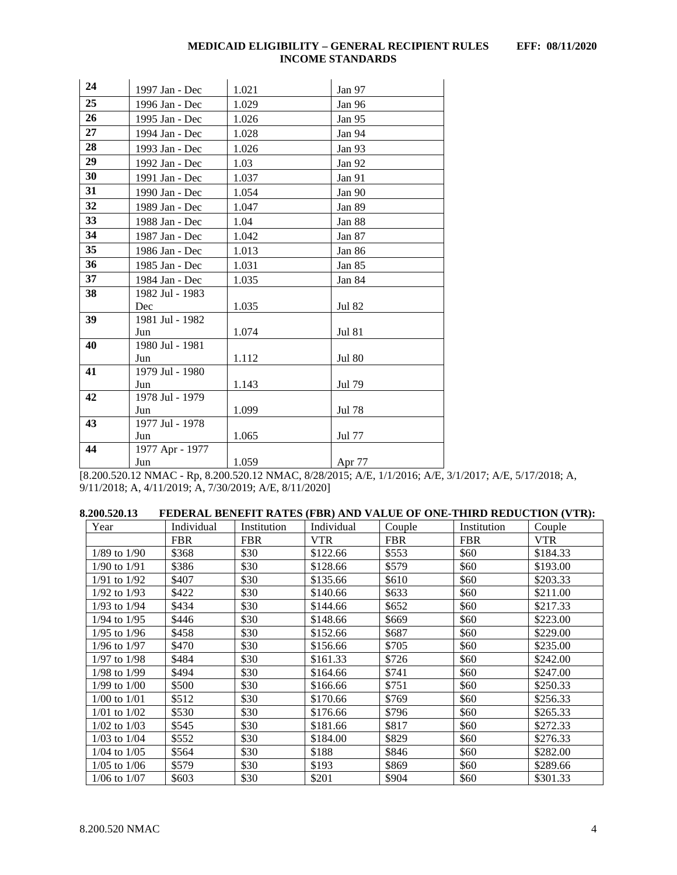| 24 | 1997 Jan - Dec  | 1.021 | Jan 97        |
|----|-----------------|-------|---------------|
| 25 | 1996 Jan - Dec  | 1.029 | Jan 96        |
| 26 | 1995 Jan - Dec  | 1.026 | Jan 95        |
| 27 | 1994 Jan - Dec  | 1.028 | Jan 94        |
| 28 | 1993 Jan - Dec  | 1.026 | Jan 93        |
| 29 | 1992 Jan - Dec  | 1.03  | Jan 92        |
| 30 | 1991 Jan - Dec  | 1.037 | Jan 91        |
| 31 | 1990 Jan - Dec  | 1.054 | Jan 90        |
| 32 | 1989 Jan - Dec  | 1.047 | Jan 89        |
| 33 | 1988 Jan - Dec  | 1.04  | Jan 88        |
| 34 | 1987 Jan - Dec  | 1.042 | Jan 87        |
| 35 | 1986 Jan - Dec  | 1.013 | Jan 86        |
| 36 | 1985 Jan - Dec  | 1.031 | Jan 85        |
| 37 | 1984 Jan - Dec  | 1.035 | Jan 84        |
| 38 | 1982 Jul - 1983 |       |               |
|    | Dec             | 1.035 | Jul 82        |
| 39 | 1981 Jul - 1982 |       |               |
|    | Jun             | 1.074 | <b>Jul 81</b> |
| 40 | 1980 Jul - 1981 |       |               |
|    | Jun             | 1.112 | <b>Jul 80</b> |
| 41 | 1979 Jul - 1980 |       |               |
|    | Jun             | 1.143 | Jul 79        |
| 42 | 1978 Jul - 1979 |       |               |
|    | Jun             | 1.099 | Jul 78        |
| 43 | 1977 Jul - 1978 |       |               |
|    | Jun             | 1.065 | Jul 77        |
| 44 | 1977 Apr - 1977 |       |               |
|    | Jun             | 1.059 | Apr 77        |

[8.200.520.12 NMAC - Rp, 8.200.520.12 NMAC, 8/28/2015; A/E, 1/1/2016; A/E, 3/1/2017; A/E, 5/17/2018; A, 9/11/2018; A, 4/11/2019; A, 7/30/2019; A/E, 8/11/2020]

<span id="page-4-0"></span>

| Year             | Individual | Institution | Individual | Couple     | Institution | Couple     |
|------------------|------------|-------------|------------|------------|-------------|------------|
|                  | <b>FBR</b> | <b>FBR</b>  | <b>VTR</b> | <b>FBR</b> | <b>FBR</b>  | <b>VTR</b> |
| $1/89$ to $1/90$ | \$368      | \$30        | \$122.66   | \$553      | \$60        | \$184.33   |
| $1/90$ to $1/91$ | \$386      | \$30        | \$128.66   | \$579      | \$60        | \$193.00   |
| $1/91$ to $1/92$ | \$407      | \$30        | \$135.66   | \$610      | \$60        | \$203.33   |
| $1/92$ to $1/93$ | \$422      | \$30        | \$140.66   | \$633      | \$60        | \$211.00   |
| $1/93$ to $1/94$ | \$434      | \$30        | \$144.66   | \$652      | \$60        | \$217.33   |
| 1/94 to 1/95     | \$446      | \$30        | \$148.66   | \$669      | \$60        | \$223.00   |
| $1/95$ to $1/96$ | \$458      | \$30        | \$152.66   | \$687      | \$60        | \$229.00   |
| $1/96$ to $1/97$ | \$470      | \$30        | \$156.66   | \$705      | \$60        | \$235.00   |
| $1/97$ to $1/98$ | \$484      | \$30        | \$161.33   | \$726      | \$60        | \$242.00   |
| 1/98 to 1/99     | \$494      | \$30        | \$164.66   | \$741      | \$60        | \$247.00   |
| $1/99$ to $1/00$ | \$500      | \$30        | \$166.66   | \$751      | \$60        | \$250.33   |
| $1/00$ to $1/01$ | \$512      | \$30        | \$170.66   | \$769      | \$60        | \$256.33   |
| $1/01$ to $1/02$ | \$530      | \$30        | \$176.66   | \$796      | \$60        | \$265.33   |
| $1/02$ to $1/03$ | \$545      | \$30        | \$181.66   | \$817      | \$60        | \$272.33   |
| $1/03$ to $1/04$ | \$552      | \$30        | \$184.00   | \$829      | \$60        | \$276.33   |
| $1/04$ to $1/05$ | \$564      | \$30        | \$188      | \$846      | \$60        | \$282.00   |
| $1/05$ to $1/06$ | \$579      | \$30        | \$193      | \$869      | \$60        | \$289.66   |
| $1/06$ to $1/07$ | \$603      | \$30        | \$201      | \$904      | \$60        | \$301.33   |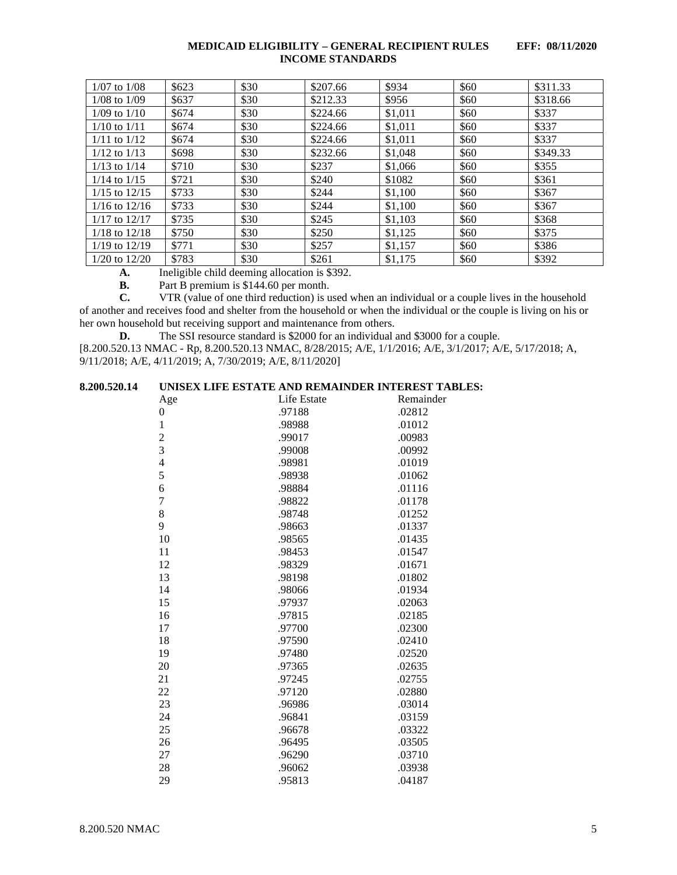| $1/07$ to $1/08$  | \$623 | \$30 | \$207.66 | \$934   | \$60 | \$311.33 |
|-------------------|-------|------|----------|---------|------|----------|
| $1/08$ to $1/09$  | \$637 | \$30 | \$212.33 | \$956   | \$60 | \$318.66 |
| $1/09$ to $1/10$  | \$674 | \$30 | \$224.66 | \$1,011 | \$60 | \$337    |
| $1/10$ to $1/11$  | \$674 | \$30 | \$224.66 | \$1,011 | \$60 | \$337    |
| $1/11$ to $1/12$  | \$674 | \$30 | \$224.66 | \$1,011 | \$60 | \$337    |
| $1/12$ to $1/13$  | \$698 | \$30 | \$232.66 | \$1,048 | \$60 | \$349.33 |
| $1/13$ to $1/14$  | \$710 | \$30 | \$237    | \$1,066 | \$60 | \$355    |
| $1/14$ to $1/15$  | \$721 | \$30 | \$240    | \$1082  | \$60 | \$361    |
| $1/15$ to $12/15$ | \$733 | \$30 | \$244    | \$1,100 | \$60 | \$367    |
| $1/16$ to $12/16$ | \$733 | \$30 | \$244    | \$1,100 | \$60 | \$367    |
| $1/17$ to $12/17$ | \$735 | \$30 | \$245    | \$1,103 | \$60 | \$368    |
| $1/18$ to $12/18$ | \$750 | \$30 | \$250    | \$1,125 | \$60 | \$375    |
| $1/19$ to $12/19$ | \$771 | \$30 | \$257    | \$1,157 | \$60 | \$386    |
| $1/20$ to $12/20$ | \$783 | \$30 | \$261    | \$1,175 | \$60 | \$392    |

**A.** Ineligible child deeming allocation is \$392.<br>**B.** Part B premium is \$144.60 per month.

**B.** Part B premium is \$144.60 per month.<br>**C.** VTR (value of one third reduction) is u

**C.** VTR (value of one third reduction) is used when an individual or a couple lives in the household of another and receives food and shelter from the household or when the individual or the couple is living on his or her own household but receiving support and maintenance from others.

**D.** The SSI resource standard is \$2000 for an individual and \$3000 for a couple.

[8.200.520.13 NMAC - Rp, 8.200.520.13 NMAC, 8/28/2015; A/E, 1/1/2016; A/E, 3/1/2017; A/E, 5/17/2018; A, 9/11/2018; A/E, 4/11/2019; A, 7/30/2019; A/E, 8/11/2020]

## <span id="page-5-0"></span>**8.200.520.14 UNISEX LIFE ESTATE AND REMAINDER INTEREST TABLES:**

| Age                      | Life Estate | Remainder |
|--------------------------|-------------|-----------|
| 0                        | .97188      | .02812    |
| $\mathbf{1}$             | .98988      | .01012    |
| $\overline{c}$           | .99017      | .00983    |
| 3                        | .99008      | .00992    |
| $\overline{\mathcal{L}}$ | .98981      | .01019    |
| 5                        | .98938      | .01062    |
| 6                        | .98884      | .01116    |
| $\overline{7}$           | .98822      | .01178    |
| 8                        | .98748      | .01252    |
| 9                        | .98663      | .01337    |
| 10                       | .98565      | .01435    |
| 11                       | .98453      | .01547    |
| 12                       | .98329      | .01671    |
| 13                       | .98198      | .01802    |
| 14                       | .98066      | .01934    |
| 15                       | .97937      | .02063    |
| 16                       | .97815      | .02185    |
| 17                       | .97700      | .02300    |
| 18                       | .97590      | .02410    |
| 19                       | .97480      | .02520    |
| 20                       | .97365      | .02635    |
| 21                       | .97245      | .02755    |
| 22                       | .97120      | .02880    |
| 23                       | .96986      | .03014    |
| 24                       | .96841      | .03159    |
| 25                       | .96678      | .03322    |
| 26                       | .96495      | .03505    |
| 27                       | .96290      | .03710    |
| 28                       | .96062      | .03938    |
| 29                       | .95813      | .04187    |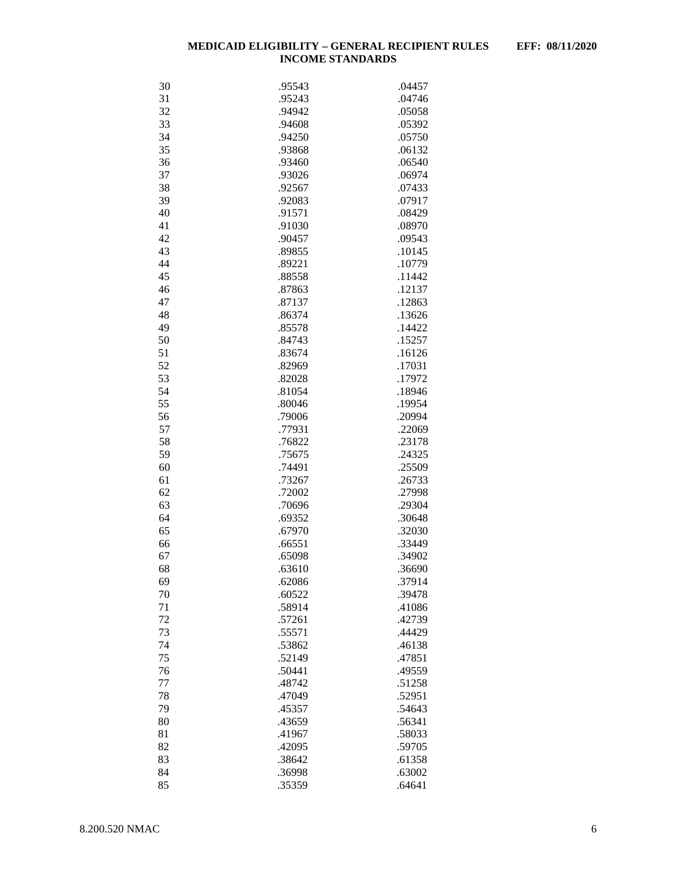| 30 | .95543 | .04457 |
|----|--------|--------|
| 31 | .95243 | .04746 |
| 32 | .94942 | .05058 |
| 33 | .94608 | .05392 |
| 34 | .94250 | .05750 |
| 35 | .93868 | .06132 |
| 36 | .93460 | .06540 |
| 37 | .93026 | .06974 |
| 38 | .92567 | .07433 |
|    |        |        |
| 39 | .92083 | .07917 |
| 40 | .91571 | .08429 |
| 41 | .91030 | .08970 |
| 42 | .90457 | .09543 |
| 43 | .89855 | .10145 |
| 44 | .89221 | .10779 |
| 45 | .88558 | .11442 |
| 46 | .87863 | .12137 |
| 47 | .87137 | .12863 |
| 48 | .86374 | .13626 |
| 49 | .85578 | .14422 |
| 50 | .84743 | .15257 |
| 51 | .83674 | .16126 |
| 52 | .82969 | .17031 |
| 53 | .82028 | .17972 |
| 54 | .81054 | .18946 |
| 55 | .80046 | .19954 |
| 56 | .79006 | .20994 |
| 57 | .77931 | .22069 |
| 58 | .76822 | .23178 |
| 59 | .75675 | .24325 |
| 60 | .74491 | .25509 |
| 61 | .73267 | .26733 |
| 62 | .72002 | .27998 |
| 63 | .70696 | .29304 |
| 64 |        | .30648 |
|    | .69352 |        |
| 65 | .67970 | .32030 |
| 66 | .66551 | .33449 |
| 67 | .65098 | .34902 |
| 68 | .63610 | .36690 |
| 69 | .62086 | .37914 |
| 70 | .60522 | .39478 |
| 71 | .58914 | .41086 |
| 72 | .57261 | .42739 |
| 73 | .55571 | .44429 |
| 74 | .53862 | .46138 |
| 75 | .52149 | .47851 |
| 76 | .50441 | .49559 |
| 77 | .48742 | .51258 |
| 78 | .47049 | .52951 |
| 79 | .45357 | .54643 |
| 80 | .43659 | .56341 |
| 81 | .41967 | .58033 |
| 82 | .42095 | .59705 |
| 83 | .38642 | .61358 |
| 84 | .36998 | .63002 |
| 85 | .35359 | .64641 |
|    |        |        |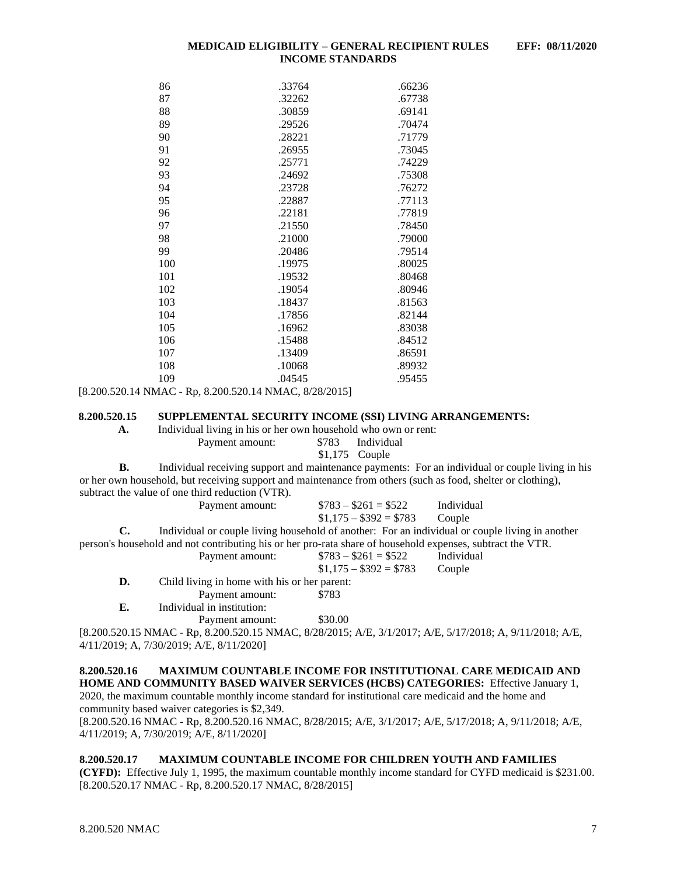| 86  | .33764 | .66236 |
|-----|--------|--------|
| 87  | .32262 | .67738 |
| 88  | .30859 | .69141 |
| 89  | .29526 | .70474 |
| 90  | .28221 | .71779 |
| 91  | .26955 | .73045 |
| 92  | .25771 | .74229 |
| 93  | .24692 | .75308 |
| 94  | .23728 | .76272 |
| 95  | .22887 | .77113 |
| 96  | .22181 | .77819 |
| 97  | .21550 | .78450 |
| 98  | .21000 | .79000 |
| 99  | .20486 | .79514 |
| 100 | .19975 | .80025 |
| 101 | .19532 | .80468 |
| 102 | .19054 | .80946 |
| 103 | .18437 | .81563 |
| 104 | .17856 | .82144 |
| 105 | .16962 | .83038 |
| 106 | .15488 | .84512 |
| 107 | .13409 | .86591 |
| 108 | .10068 | .89932 |
| 109 | .04545 | .95455 |
|     |        |        |

[8.200.520.14 NMAC - Rp, 8.200.520.14 NMAC, 8/28/2015]

#### <span id="page-7-0"></span>**8.200.520.15 SUPPLEMENTAL SECURITY INCOME (SSI) LIVING ARRANGEMENTS:**

**A.** Individual living in his or her own household who own or rent: Payment amount: \$783 Individual

#### \$1,175 Couple

**B.** Individual receiving support and maintenance payments: For an individual or couple living in his or her own household, but receiving support and maintenance from others (such as food, shelter or clothing), subtract the value of one third reduction (VTR).<br>Payment amount:  $$783 - $261 = $522$  Individual

|    |                                                                                                            | $$1,175 - $392 = $783$ Couple |                                                                                                 |
|----|------------------------------------------------------------------------------------------------------------|-------------------------------|-------------------------------------------------------------------------------------------------|
| C. |                                                                                                            |                               | Individual or couple living household of another: For an individual or couple living in another |
|    | person's household and not contributing his or her pro-rata share of household expenses, subtract the VTR. |                               |                                                                                                 |
|    | Payment amount:                                                                                            | $\$783 - \$261 = \$522$       | Individual                                                                                      |
|    |                                                                                                            | $$1.175 - $392 = $783$        | Couple                                                                                          |
| D. | Child living in home with his or her parent:                                                               |                               |                                                                                                 |
|    | Payment amount:                                                                                            | \$783                         |                                                                                                 |
| Е. | Individual in institution:                                                                                 |                               |                                                                                                 |
|    | Payment amount:                                                                                            | \$30.00                       |                                                                                                 |
|    |                                                                                                            |                               |                                                                                                 |

[8.200.520.15 NMAC - Rp, 8.200.520.15 NMAC, 8/28/2015; A/E, 3/1/2017; A/E, 5/17/2018; A, 9/11/2018; A/E, 4/11/2019; A, 7/30/2019; A/E, 8/11/2020]

#### <span id="page-7-1"></span>**8.200.520.16 MAXIMUM COUNTABLE INCOME FOR INSTITUTIONAL CARE MEDICAID AND HOME AND COMMUNITY BASED WAIVER SERVICES (HCBS) CATEGORIES:** Effective January 1, 2020, the maximum countable monthly income standard for institutional care medicaid and the home and community based waiver categories is \$2,349.

[8.200.520.16 NMAC - Rp, 8.200.520.16 NMAC, 8/28/2015; A/E, 3/1/2017; A/E, 5/17/2018; A, 9/11/2018; A/E, 4/11/2019; A, 7/30/2019; A/E, 8/11/2020]

## <span id="page-7-2"></span>**8.200.520.17 MAXIMUM COUNTABLE INCOME FOR CHILDREN YOUTH AND FAMILIES**

**(CYFD):** Effective July 1, 1995, the maximum countable monthly income standard for CYFD medicaid is \$231.00. [8.200.520.17 NMAC - Rp, 8.200.520.17 NMAC, 8/28/2015]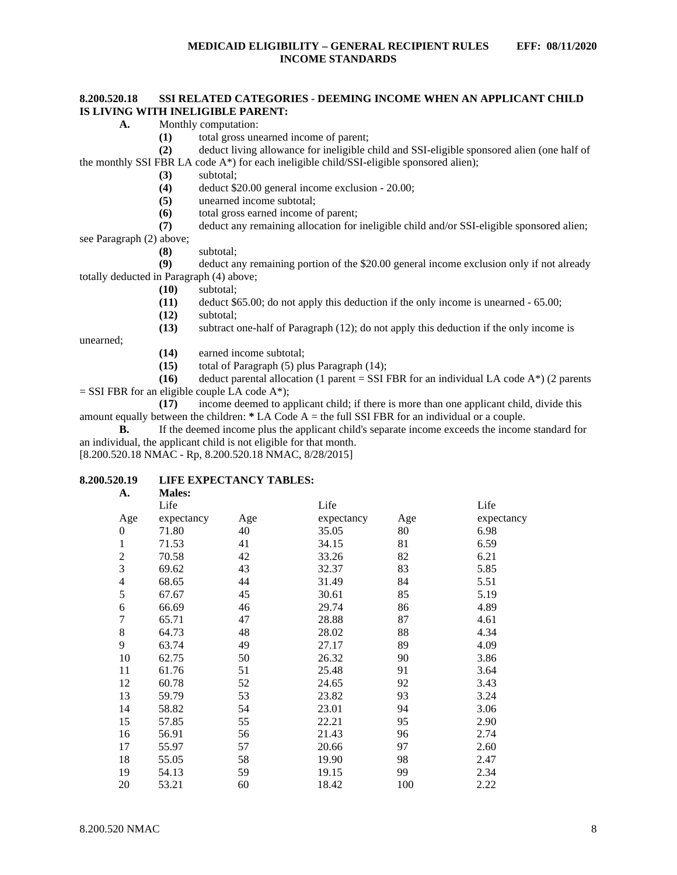## <span id="page-8-0"></span>**8.200.520.18 SSI RELATED CATEGORIES - DEEMING INCOME WHEN AN APPLICANT CHILD IS LIVING WITH INELIGIBLE PARENT:**

- **A.** Monthly computation:
	- **(1)** total gross unearned income of parent;

**(2)** deduct living allowance for ineligible child and SSI-eligible sponsored alien (one half of the monthly SSI FBR LA code  $A^*$ ) for each ineligible child/SSI-eligible sponsored alien);

- **(3)** subtotal;
- (4) deduct \$20.00 general income exclusion 20.00;<br>(5) unearned income subtotal;
- **(5)** unearned income subtotal;
- **(6)** total gross earned income of parent;

**(7)** deduct any remaining allocation for ineligible child and/or SSI-eligible sponsored alien; see Paragraph (2) above;

**(8)** subtotal;

**(9)** deduct any remaining portion of the \$20.00 general income exclusion only if not already totally deducted in Paragraph (4) above;

- **(10)** subtotal;
- **(11)** deduct \$65.00; do not apply this deduction if the only income is unearned 65.00;
- **(12)** subtotal;

**(13)** subtract one-half of Paragraph (12); do not apply this deduction if the only income is

unearned;

- **(14)** earned income subtotal;
- **(15)** total of Paragraph (5) plus Paragraph (14);

**(16)** deduct parental allocation (1 parent = SSI FBR for an individual LA code  $A^*$ ) (2 parents  $=$  SSI FBR for an eligible couple LA code A\*);

**(17)** income deemed to applicant child; if there is more than one applicant child, divide this amount equally between the children: **\*** LA Code A = the full SSI FBR for an individual or a couple.

**B.** If the deemed income plus the applicant child's separate income exceeds the income standard for an individual, the applicant child is not eligible for that month.

[8.200.520.18 NMAC - Rp, 8.200.520.18 NMAC, 8/28/2015]

# <span id="page-8-1"></span>**8.200.520.19 LIFE EXPECTANCY TABLES:**

|          | Life       |     | Life       |     | Life       |
|----------|------------|-----|------------|-----|------------|
| Age      | expectancy | Age | expectancy | Age | expectancy |
| $\theta$ | 71.80      | 40  | 35.05      | 80  | 6.98       |
| 1        | 71.53      | 41  | 34.15      | 81  | 6.59       |
| 2        | 70.58      | 42  | 33.26      | 82  | 6.21       |
| 3        | 69.62      | 43  | 32.37      | 83  | 5.85       |
| 4        | 68.65      | 44  | 31.49      | 84  | 5.51       |
| 5        | 67.67      | 45  | 30.61      | 85  | 5.19       |
| 6        | 66.69      | 46  | 29.74      | 86  | 4.89       |
| 7        | 65.71      | 47  | 28.88      | 87  | 4.61       |
| $8\,$    | 64.73      | 48  | 28.02      | 88  | 4.34       |
| 9        | 63.74      | 49  | 27.17      | 89  | 4.09       |
| 10       | 62.75      | 50  | 26.32      | 90  | 3.86       |
| 11       | 61.76      | 51  | 25.48      | 91  | 3.64       |
| 12       | 60.78      | 52  | 24.65      | 92  | 3.43       |
| 13       | 59.79      | 53  | 23.82      | 93  | 3.24       |
| 14       | 58.82      | 54  | 23.01      | 94  | 3.06       |
| 15       | 57.85      | 55  | 22.21      | 95  | 2.90       |
| 16       | 56.91      | 56  | 21.43      | 96  | 2.74       |
| 17       | 55.97      | 57  | 20.66      | 97  | 2.60       |
| 18       | 55.05      | 58  | 19.90      | 98  | 2.47       |
| 19       | 54.13      | 59  | 19.15      | 99  | 2.34       |
| 20       | 53.21      | 60  | 18.42      | 100 | 2.22       |
|          |            |     |            |     |            |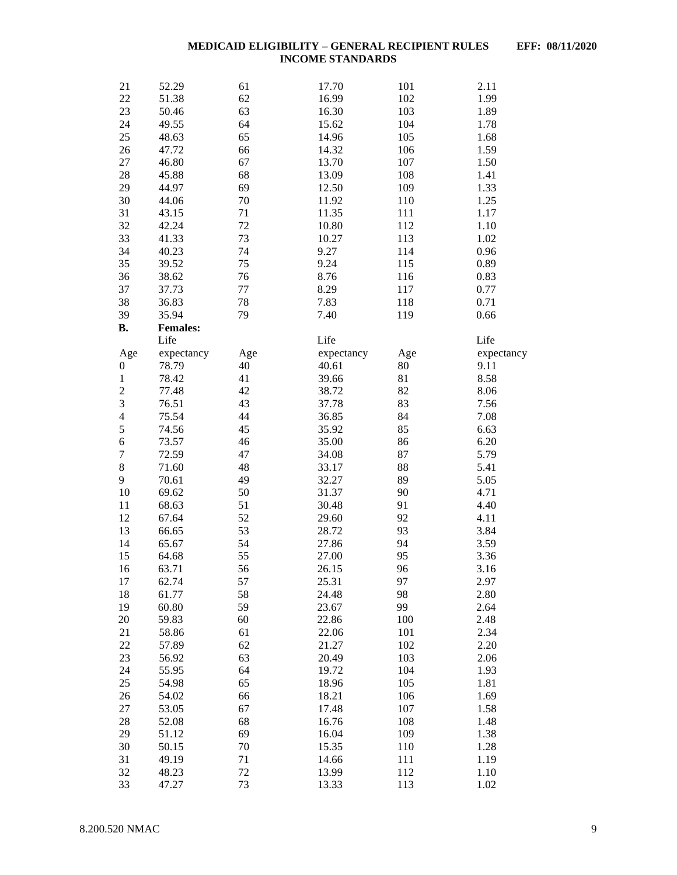| 21                               | 52.29           | 61        | 17.70      | 101       | 2.11               |
|----------------------------------|-----------------|-----------|------------|-----------|--------------------|
| 22                               | 51.38           | 62        | 16.99      | 102       | 1.99               |
| 23                               | 50.46           | 63        | 16.30      | 103       | 1.89               |
| 24                               | 49.55           | 64        | 15.62      | 104       | 1.78               |
| 25                               | 48.63           | 65        | 14.96      | 105       | 1.68               |
| 26                               | 47.72           | 66        | 14.32      | 106       | 1.59               |
| 27                               | 46.80           | 67        | 13.70      | 107       | 1.50               |
| 28                               | 45.88           | 68        | 13.09      | 108       | 1.41               |
| 29                               | 44.97           | 69        | 12.50      | 109       | 1.33               |
| 30                               | 44.06           | $70\,$    | 11.92      | 110       | 1.25               |
| 31                               | 43.15           | 71        | 11.35      | 111       | 1.17               |
| 32                               | 42.24           | 72        | 10.80      | 112       | 1.10               |
| 33                               | 41.33           | 73        | 10.27      | 113       | 1.02               |
| 34                               | 40.23           | 74        | 9.27       | 114       | 0.96               |
| 35                               | 39.52           | 75        | 9.24       | 115       | 0.89               |
| 36                               | 38.62           | 76        | 8.76       | 116       | 0.83               |
| 37                               | 37.73           | 77        | 8.29       | 117       | 0.77               |
| 38                               | 36.83           | 78        | 7.83       | 118       | 0.71               |
| 39                               | 35.94           | 79        | 7.40       | 119       | 0.66               |
| <b>B.</b>                        | <b>Females:</b> |           |            |           |                    |
|                                  | Life            |           | Life       |           | Life               |
|                                  | expectancy      |           | expectancy |           |                    |
| Age                              | 78.79           | Age<br>40 | 40.61      | Age<br>80 | expectancy<br>9.11 |
| $\boldsymbol{0}$<br>$\mathbf{1}$ | 78.42           | 41        | 39.66      | 81        | 8.58               |
|                                  |                 | 42        | 38.72      | 82        | 8.06               |
| $\overline{c}$<br>3              | 77.48<br>76.51  | 43        | 37.78      | 83        | 7.56               |
| $\overline{4}$                   |                 | 44        |            |           |                    |
| 5                                | 75.54           |           | 36.85      | 84        | 7.08               |
|                                  | 74.56           | 45        | 35.92      | 85        | 6.63               |
| 6                                | 73.57           | 46        | 35.00      | 86        | 6.20               |
| $\overline{7}$                   | 72.59           | 47        | 34.08      | 87        | 5.79               |
| $\,8\,$                          | 71.60           | 48        | 33.17      | 88        | 5.41               |
| 9                                | 70.61           | 49        | 32.27      | 89        | 5.05               |
| 10                               | 69.62           | 50        | 31.37      | 90        | 4.71               |
| 11                               | 68.63           | 51        | 30.48      | 91        | 4.40               |
| 12                               | 67.64           | 52        | 29.60      | 92        | 4.11               |
| 13                               | 66.65           | 53        | 28.72      | 93        | 3.84               |
| 14                               | 65.67           | 54        | 27.86      | 94        | 3.59               |
| 15                               | 64.68           | 55        | 27.00      | 95        | 3.36               |
| 16                               | 63.71           | 56        | 26.15      | 96        | 3.16               |
| 17                               | 62.74           | 57        | 25.31      | 97        | 2.97               |
| 18                               | 61.77           | 58        | 24.48      | 98        | 2.80               |
| 19                               | 60.80           | 59        | 23.67      | 99        | 2.64               |
| 20                               | 59.83           | 60        | 22.86      | 100       | 2.48               |
| 21                               | 58.86           | 61        | 22.06      | 101       | 2.34               |
| 22                               | 57.89           | 62        | 21.27      | 102       | 2.20               |
| 23                               | 56.92           | 63        | 20.49      | 103       | 2.06               |
| 24                               | 55.95           | 64        | 19.72      | 104       | 1.93               |
| 25                               | 54.98           | 65        | 18.96      | 105       | 1.81               |
| 26                               | 54.02           | 66        | 18.21      | 106       | 1.69               |
| 27                               | 53.05           | 67        | 17.48      | 107       | 1.58               |
| 28                               | 52.08           | 68        | 16.76      | 108       | 1.48               |
| 29                               | 51.12           | 69        | 16.04      | 109       | 1.38               |
| 30                               | 50.15           | 70        | 15.35      | 110       | 1.28               |
| 31                               | 49.19           | 71        | 14.66      | 111       | 1.19               |
| 32                               | 48.23           | 72        | 13.99      | 112       | 1.10               |
| 33                               | 47.27           | 73        | 13.33      | 113       | 1.02               |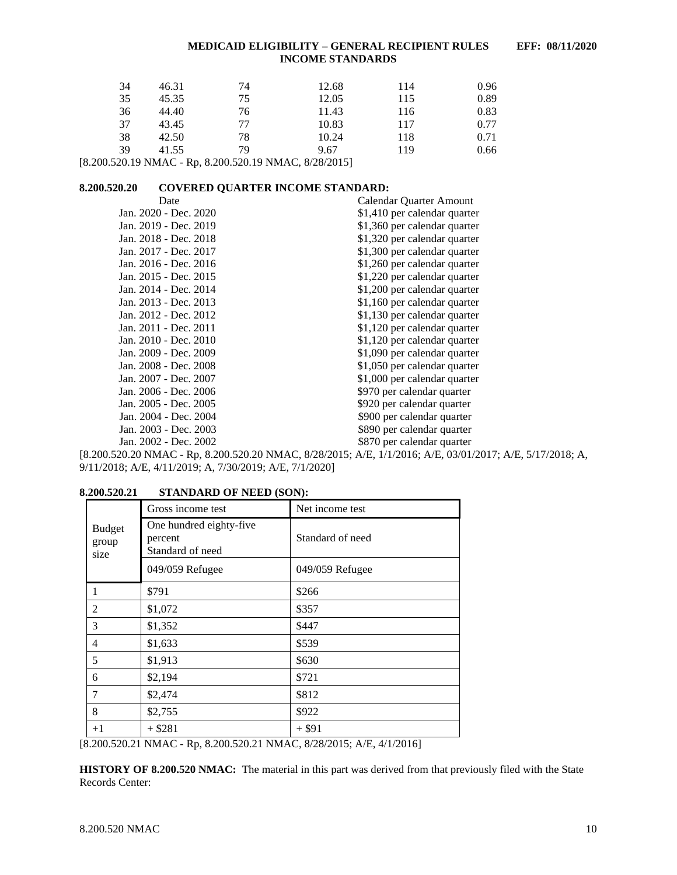| 34 | 46.31 | 74 | 12.68 | 114 | 0.96 |
|----|-------|----|-------|-----|------|
| 35 | 45.35 | 75 | 12.05 | 115 | 0.89 |
| 36 | 44.40 | 76 | 11.43 | 116 | 0.83 |
| 37 | 43.45 | 77 | 10.83 | 117 | 0.77 |
| 38 | 42.50 | 78 | 10.24 | 118 | 0.71 |
| 39 | 41.55 | 79 | 9.67  | 119 | 0.66 |

[8.200.520.19 NMAC - Rp, 8.200.520.19 NMAC, 8/28/2015]

## <span id="page-10-0"></span>**8.200.520.20 COVERED QUARTER INCOME STANDARD:**

| Date                  | Calendar Quarter Amount      |
|-----------------------|------------------------------|
| Jan. 2020 - Dec. 2020 | \$1,410 per calendar quarter |
| Jan. 2019 - Dec. 2019 | \$1,360 per calendar quarter |
| Jan. 2018 - Dec. 2018 | \$1,320 per calendar quarter |
| Jan. 2017 - Dec. 2017 | \$1,300 per calendar quarter |
| Jan. 2016 - Dec. 2016 | \$1,260 per calendar quarter |
| Jan. 2015 - Dec. 2015 | \$1,220 per calendar quarter |
| Jan. 2014 - Dec. 2014 | \$1,200 per calendar quarter |
| Jan. 2013 - Dec. 2013 | \$1,160 per calendar quarter |
| Jan. 2012 - Dec. 2012 | \$1,130 per calendar quarter |
| Jan. 2011 - Dec. 2011 | \$1,120 per calendar quarter |
| Jan. 2010 - Dec. 2010 | \$1,120 per calendar quarter |
| Jan. 2009 - Dec. 2009 | \$1,090 per calendar quarter |
| Jan. 2008 - Dec. 2008 | \$1,050 per calendar quarter |
| Jan. 2007 - Dec. 2007 | \$1,000 per calendar quarter |
| Jan. 2006 - Dec. 2006 | \$970 per calendar quarter   |
| Jan. 2005 - Dec. 2005 | \$920 per calendar quarter   |
| Jan. 2004 - Dec. 2004 | \$900 per calendar quarter   |
| Jan. 2003 - Dec. 2003 | \$890 per calendar quarter   |
| Jan. 2002 - Dec. 2002 | \$870 per calendar quarter   |
|                       |                              |

[8.200.520.20 NMAC - Rp, 8.200.520.20 NMAC, 8/28/2015; A/E, 1/1/2016; A/E, 03/01/2017; A/E, 5/17/2018; A, 9/11/2018; A/E, 4/11/2019; A, 7/30/2019; A/E, 7/1/2020]

<span id="page-10-1"></span>

|  | 8.200.520.21 | <b>STANDARD OF NEED (SON):</b> |  |
|--|--------------|--------------------------------|--|
|--|--------------|--------------------------------|--|

| 3.400.940.41                   | STANDARD OF NEED (SON).                                |                  |  |
|--------------------------------|--------------------------------------------------------|------------------|--|
|                                | Gross income test                                      | Net income test  |  |
| <b>Budget</b><br>group<br>size | One hundred eighty-five<br>percent<br>Standard of need | Standard of need |  |
|                                | 049/059 Refugee                                        | 049/059 Refugee  |  |
| 1                              | \$791                                                  | \$266            |  |
| 2                              | \$1,072                                                | \$357            |  |
| 3                              | \$1,352                                                | \$447            |  |
| $\overline{4}$                 | \$1,633                                                | \$539            |  |
| 5                              | \$1,913                                                | \$630            |  |
| 6                              | \$2,194                                                | \$721            |  |
| 7                              | \$2,474                                                | \$812            |  |
| 8                              | \$2,755                                                | \$922            |  |
| $+1$                           | $+ $281$                                               | $+ $91$          |  |
|                                |                                                        |                  |  |

[8.200.520.21 NMAC - Rp, 8.200.520.21 NMAC, 8/28/2015; A/E, 4/1/2016]

**HISTORY OF 8.200.520 NMAC:** The material in this part was derived from that previously filed with the State Records Center: